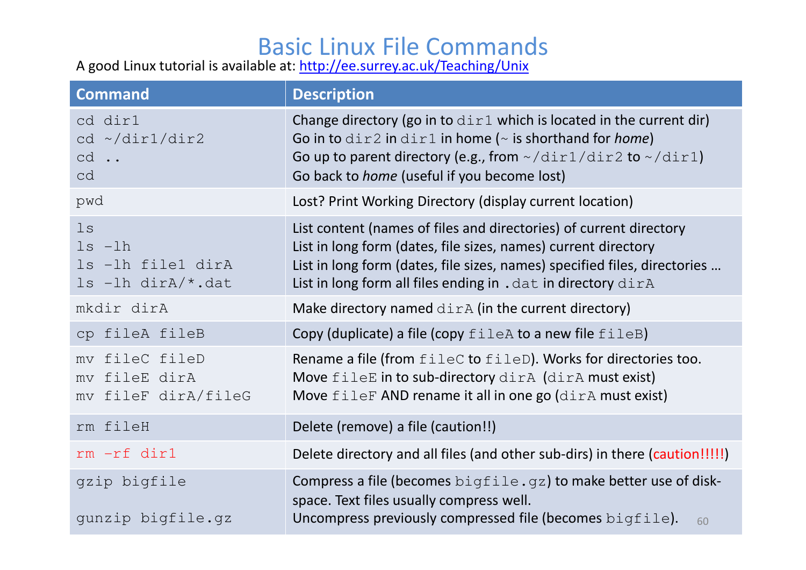## Basic Linux File Commands

A good Linux tutorial is available at: http://ee.surrey.ac.uk/Teaching/Unix

| <b>Command</b>                                                     | <b>Description</b>                                                                                                                                                                                                                                                                                                    |
|--------------------------------------------------------------------|-----------------------------------------------------------------------------------------------------------------------------------------------------------------------------------------------------------------------------------------------------------------------------------------------------------------------|
| cd dir1<br>cd ~/dir1/dir2<br>$cd \cdot$<br>cd                      | Change directory (go in to $\text{dir1}$ which is located in the current dir)<br>Go in to $\text{dir2}$ in $\text{dir1}$ in home ( $\sim$ is shorthand for <i>home</i> )<br>Go up to parent directory (e.g., from $\sim$ /dir $1$ /dir $2$ to $\sim$ /dir $1$ )<br>Go back to <i>home</i> (useful if you become lost) |
| pwd                                                                | Lost? Print Working Directory (display current location)                                                                                                                                                                                                                                                              |
| $\log$<br>$ls -lh$<br>ls -lh file1 dirA<br>$ls$ -lh dir $A$ /*.dat | List content (names of files and directories) of current directory<br>List in long form (dates, file sizes, names) current directory<br>List in long form (dates, file sizes, names) specified files, directories<br>List in long form all files ending in . dat in directory dirA                                    |
| mkdir dirA                                                         | Make directory named $\text{dirA}$ (in the current directory)                                                                                                                                                                                                                                                         |
| cp fileA fileB                                                     | Copy (duplicate) a file (copy $file$ to a new file $fileB)$                                                                                                                                                                                                                                                           |
| fileC fileD<br>mv<br>my fileE dirA<br>mv fileF dirA/fileG          | Rename a file (from fileC to fileD). Works for directories too.<br>Move fileE in to sub-directory dirA (dirA must exist)<br>Move fileF AND rename it all in one go (dirA must exist)                                                                                                                                  |
| rm fileH                                                           | Delete (remove) a file (caution!!)                                                                                                                                                                                                                                                                                    |
| rm -rf dir1                                                        | Delete directory and all files (and other sub-dirs) in there (caution!!!!!)                                                                                                                                                                                                                                           |
| gzip bigfile<br>gunzip bigfile.gz                                  | Compress a file (becomes $bigfile, qz$ ) to make better use of disk-<br>space. Text files usually compress well.<br>Uncompress previously compressed file (becomes $bigfile$ ).<br>60                                                                                                                                 |